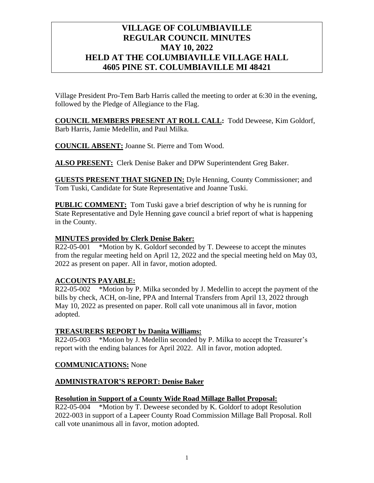# **VILLAGE OF COLUMBIAVILLE REGULAR COUNCIL MINUTES MAY 10, 2022 HELD AT THE COLUMBIAVILLE VILLAGE HALL 4605 PINE ST. COLUMBIAVILLE MI 48421**

Village President Pro-Tem Barb Harris called the meeting to order at 6:30 in the evening, followed by the Pledge of Allegiance to the Flag.

**COUNCIL MEMBERS PRESENT AT ROLL CALL:** Todd Deweese, Kim Goldorf, Barb Harris, Jamie Medellin, and Paul Milka.

**COUNCIL ABSENT:** Joanne St. Pierre and Tom Wood.

**ALSO PRESENT:** Clerk Denise Baker and DPW Superintendent Greg Baker.

**GUESTS PRESENT THAT SIGNED IN:** Dyle Henning, County Commissioner; and Tom Tuski, Candidate for State Representative and Joanne Tuski.

**PUBLIC COMMENT:** Tom Tuski gave a brief description of why he is running for State Representative and Dyle Henning gave council a brief report of what is happening in the County.

# **MINUTES provided by Clerk Denise Baker:**

R22-05-001 \*Motion by K. Goldorf seconded by T. Deweese to accept the minutes from the regular meeting held on April 12, 2022 and the special meeting held on May 03, 2022 as present on paper. All in favor, motion adopted.

# **ACCOUNTS PAYABLE:**

R22-05-002 \*Motion by P. Milka seconded by J. Medellin to accept the payment of the bills by check, ACH, on-line, PPA and Internal Transfers from April 13, 2022 through May 10, 2022 as presented on paper. Roll call vote unanimous all in favor, motion adopted.

# **TREASURERS REPORT by Danita Williams:**

R22-05-003 \*Motion by J. Medellin seconded by P. Milka to accept the Treasurer's report with the ending balances for April 2022. All in favor, motion adopted.

# **COMMUNICATIONS:** None

# **ADMINISTRATOR'S REPORT: Denise Baker**

# **Resolution in Support of a County Wide Road Millage Ballot Proposal:**

R22-05-004 \*Motion by T. Deweese seconded by K. Goldorf to adopt Resolution 2022-003 in support of a Lapeer County Road Commission Millage Ball Proposal. Roll call vote unanimous all in favor, motion adopted.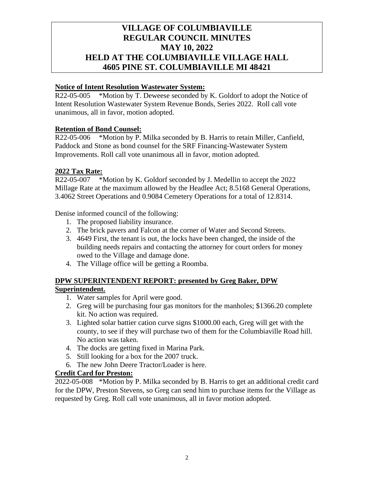# **VILLAGE OF COLUMBIAVILLE REGULAR COUNCIL MINUTES MAY 10, 2022 HELD AT THE COLUMBIAVILLE VILLAGE HALL 4605 PINE ST. COLUMBIAVILLE MI 48421**

## **Notice of Intent Resolution Wastewater System:**

R22-05-005 \*Motion by T. Deweese seconded by K. Goldorf to adopt the Notice of Intent Resolution Wastewater System Revenue Bonds, Series 2022. Roll call vote unanimous, all in favor, motion adopted.

# **Retention of Bond Counsel:**

R22-05-006 \*Motion by P. Milka seconded by B. Harris to retain Miller, Canfield, Paddock and Stone as bond counsel for the SRF Financing-Wastewater System Improvements. Roll call vote unanimous all in favor, motion adopted.

#### **2022 Tax Rate:**

R22-05-007 \*Motion by K. Goldorf seconded by J. Medellin to accept the 2022 Millage Rate at the maximum allowed by the Headlee Act; 8.5168 General Operations, 3.4062 Street Operations and 0.9084 Cemetery Operations for a total of 12.8314.

Denise informed council of the following:

- 1. The proposed liability insurance.
- 2. The brick pavers and Falcon at the corner of Water and Second Streets.
- 3. 4649 First, the tenant is out, the locks have been changed, the inside of the building needs repairs and contacting the attorney for court orders for money owed to the Village and damage done.
- 4. The Village office will be getting a Roomba.

# **DPW SUPERINTENDENT REPORT: presented by Greg Baker, DPW**

# **Superintendent.**

- 1. Water samples for April were good.
- 2. Greg will be purchasing four gas monitors for the manholes; \$1366.20 complete kit. No action was required.
- 3. Lighted solar battier cation curve signs \$1000.00 each, Greg will get with the county, to see if they will purchase two of them for the Columbiaville Road hill. No action was taken.
- 4. The docks are getting fixed in Marina Park.
- 5. Still looking for a box for the 2007 truck.
- 6. The new John Deere Tractor/Loader is here.

#### **Credit Card for Preston:**

2022-05-008 \*Motion by P. Milka seconded by B. Harris to get an additional credit card for the DPW, Preston Stevens, so Greg can send him to purchase items for the Village as requested by Greg. Roll call vote unanimous, all in favor motion adopted.